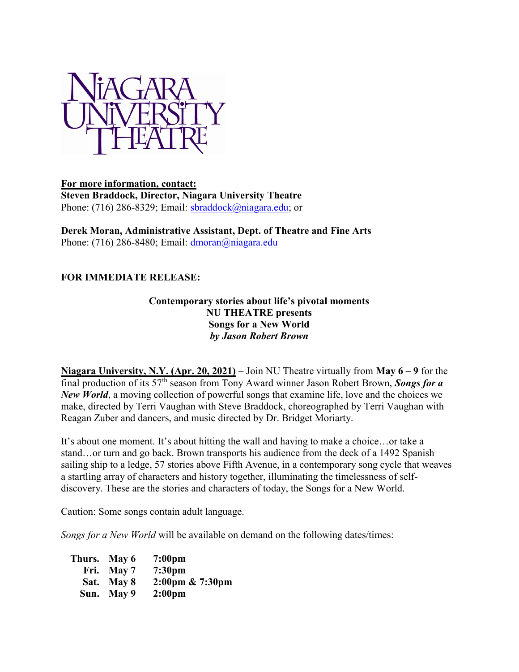

## For more information, contact: Steven Braddock, Director, Niagara University Theatre Phone: (716) 286-8329; Email: sbraddock@niagara.edu; or

Derek Moran, Administrative Assistant, Dept. of Theatre and Fine Arts Phone: (716) 286-8480; Email:  $\frac{d_{\text{moran}}(a_{\text{m i})}}{d_{\text{m i}}}$ 

# FOR IMMEDIATE RELEASE:

#### Contemporary stories about life's pivotal moments NU THEATRE presents Songs for a New World by Jason Robert Brown

Niagara University, N.Y. (Apr. 20, 2021) – Join NU Theatre virtually from May  $6 - 9$  for the final production of its  $57<sup>th</sup>$  season from Tony Award winner Jason Robert Brown, Songs for a New World, a moving collection of powerful songs that examine life, love and the choices we make, directed by Terri Vaughan with Steve Braddock, choreographed by Terri Vaughan with Reagan Zuber and dancers, and music directed by Dr. Bridget Moriarty.

It's about one moment. It's about hitting the wall and having to make a choice…or take a stand…or turn and go back. Brown transports his audience from the deck of a 1492 Spanish sailing ship to a ledge, 57 stories above Fifth Avenue, in a contemporary song cycle that weaves a startling array of characters and history together, illuminating the timelessness of selfdiscovery. These are the stories and characters of today, the Songs for a New World.

Caution: Some songs contain adult language.

Songs for a New World will be available on demand on the following dates/times:

| Thurs. May 6 | 7:00 <sub>pm</sub> |
|--------------|--------------------|
| Fri. May 7   | 7:30 <sub>pm</sub> |
| Sat. May 8   | 2:00pm & 7:30pm    |
| Sun. May 9   | 2:00 <sub>pm</sub> |